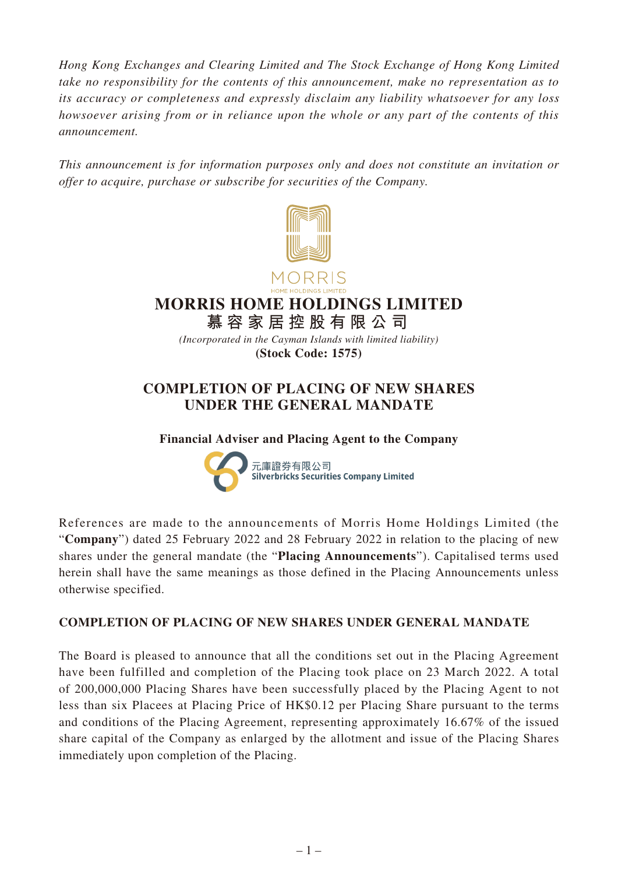*Hong Kong Exchanges and Clearing Limited and The Stock Exchange of Hong Kong Limited take no responsibility for the contents of this announcement, make no representation as to its accuracy or completeness and expressly disclaim any liability whatsoever for any loss howsoever arising from or in reliance upon the whole or any part of the contents of this announcement.*

*This announcement is for information purposes only and does not constitute an invitation or offer to acquire, purchase or subscribe for securities of the Company.*





# **MORRIS HOME HOLDINGS LIMITED**

**慕容家居控股有限公司**

*(Incorporated in the Cayman Islands with limited liability)* **(Stock Code: 1575)**

## **COMPLETION OF PLACING OF NEW SHARES UNDER THE GENERAL MANDATE**

**Financial Adviser and Placing Agent to the Company**



References are made to the announcements of Morris Home Holdings Limited (the "**Company**") dated 25 February 2022 and 28 February 2022 in relation to the placing of new shares under the general mandate (the "**Placing Announcements**"). Capitalised terms used herein shall have the same meanings as those defined in the Placing Announcements unless otherwise specified.

### **COMPLETION OF PLACING OF NEW SHARES UNDER GENERAL MANDATE**

The Board is pleased to announce that all the conditions set out in the Placing Agreement have been fulfilled and completion of the Placing took place on 23 March 2022. A total of 200,000,000 Placing Shares have been successfully placed by the Placing Agent to not less than six Placees at Placing Price of HK\$0.12 per Placing Share pursuant to the terms and conditions of the Placing Agreement, representing approximately 16.67% of the issued share capital of the Company as enlarged by the allotment and issue of the Placing Shares immediately upon completion of the Placing.